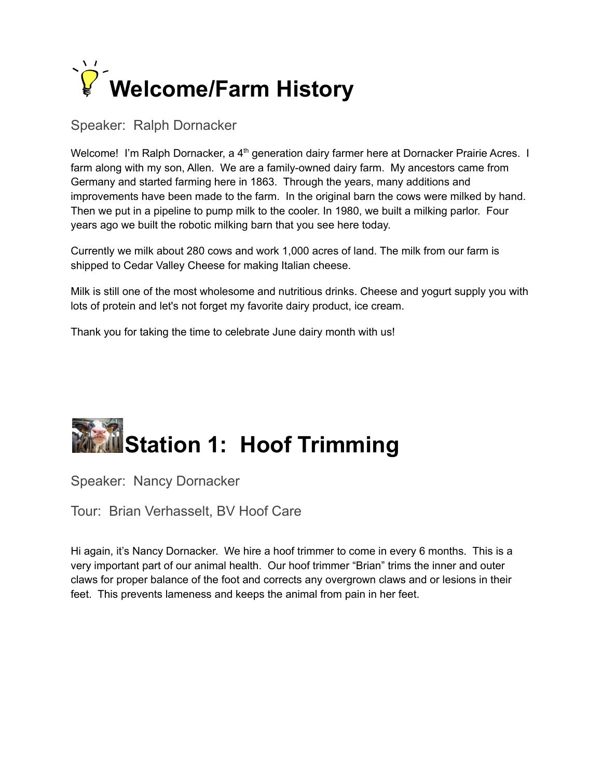

#### Speaker: Ralph Dornacker

Welcome! I'm Ralph Dornacker, a 4<sup>th</sup> generation dairy farmer here at Dornacker Prairie Acres. I farm along with my son, Allen. We are a family-owned dairy farm. My ancestors came from Germany and started farming here in 1863. Through the years, many additions and improvements have been made to the farm. In the original barn the cows were milked by hand. Then we put in a pipeline to pump milk to the cooler. In 1980, we built a milking parlor. Four years ago we built the robotic milking barn that you see here today.

Currently we milk about 280 cows and work 1,000 acres of land. The milk from our farm is shipped to Cedar Valley Cheese for making Italian cheese.

Milk is still one of the most wholesome and nutritious drinks. Cheese and yogurt supply you with lots of protein and let's not forget my favorite dairy product, ice cream.

Thank you for taking the time to celebrate June dairy month with us!

## **Station 1: Hoof Trimming**

Speaker: Nancy Dornacker

Tour: Brian Verhasselt, BV Hoof Care

Hi again, it's Nancy Dornacker. We hire a hoof trimmer to come in every 6 months. This is a very important part of our animal health. Our hoof trimmer "Brian" trims the inner and outer claws for proper balance of the foot and corrects any overgrown claws and or lesions in their feet. This prevents lameness and keeps the animal from pain in her feet.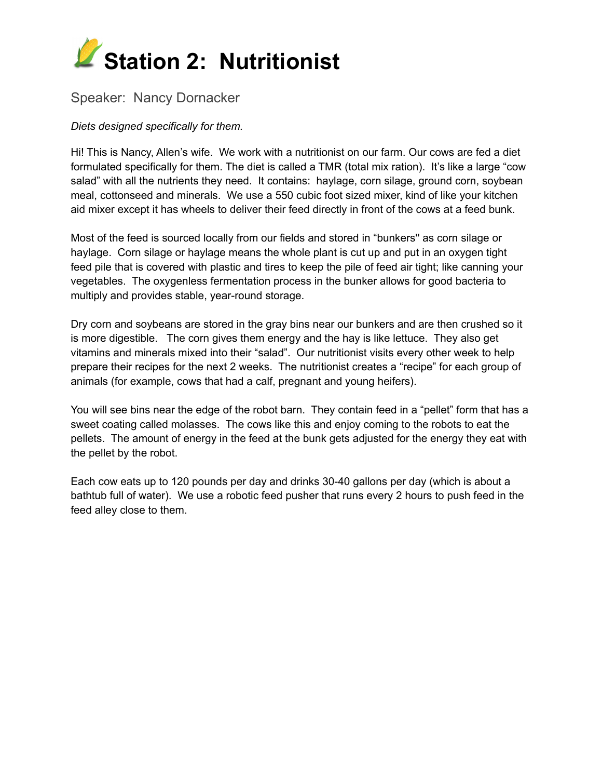

#### Speaker: Nancy Dornacker

#### *Diets designed specifically for them.*

Hi! This is Nancy, Allen's wife. We work with a nutritionist on our farm. Our cows are fed a diet formulated specifically for them. The diet is called a TMR (total mix ration). It's like a large "cow salad" with all the nutrients they need. It contains: haylage, corn silage, ground corn, soybean meal, cottonseed and minerals. We use a 550 cubic foot sized mixer, kind of like your kitchen aid mixer except it has wheels to deliver their feed directly in front of the cows at a feed bunk.

Most of the feed is sourced locally from our fields and stored in "bunkers'' as corn silage or haylage. Corn silage or haylage means the whole plant is cut up and put in an oxygen tight feed pile that is covered with plastic and tires to keep the pile of feed air tight; like canning your vegetables. The oxygenless fermentation process in the bunker allows for good bacteria to multiply and provides stable, year-round storage.

Dry corn and soybeans are stored in the gray bins near our bunkers and are then crushed so it is more digestible. The corn gives them energy and the hay is like lettuce. They also get vitamins and minerals mixed into their "salad". Our nutritionist visits every other week to help prepare their recipes for the next 2 weeks. The nutritionist creates a "recipe" for each group of animals (for example, cows that had a calf, pregnant and young heifers).

You will see bins near the edge of the robot barn. They contain feed in a "pellet" form that has a sweet coating called molasses. The cows like this and enjoy coming to the robots to eat the pellets. The amount of energy in the feed at the bunk gets adjusted for the energy they eat with the pellet by the robot.

Each cow eats up to 120 pounds per day and drinks 30-40 gallons per day (which is about a bathtub full of water). We use a robotic feed pusher that runs every 2 hours to push feed in the feed alley close to them.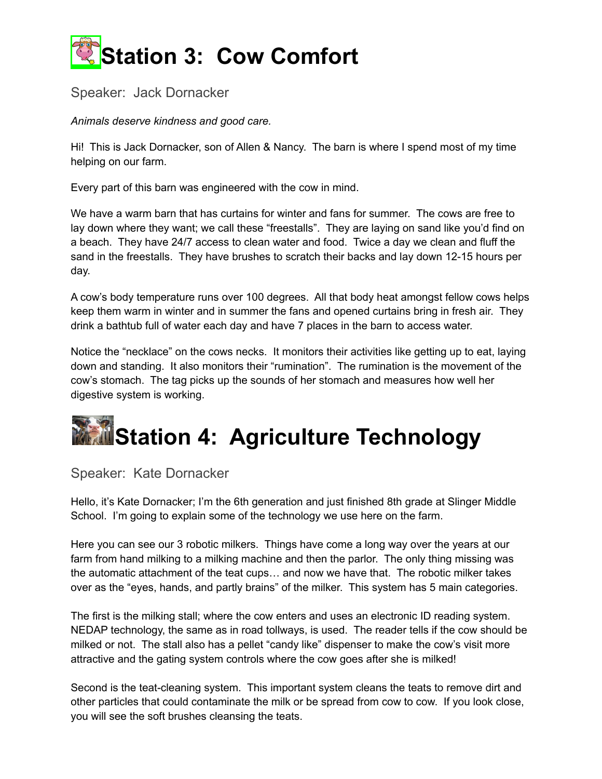

#### Speaker: Jack Dornacker

*Animals deserve kindness and good care.*

Hi! This is Jack Dornacker, son of Allen & Nancy. The barn is where I spend most of my time helping on our farm.

Every part of this barn was engineered with the cow in mind.

We have a warm barn that has curtains for winter and fans for summer. The cows are free to lay down where they want; we call these "freestalls". They are laying on sand like you'd find on a beach. They have 24/7 access to clean water and food. Twice a day we clean and fluff the sand in the freestalls. They have brushes to scratch their backs and lay down 12-15 hours per day.

A cow's body temperature runs over 100 degrees. All that body heat amongst fellow cows helps keep them warm in winter and in summer the fans and opened curtains bring in fresh air. They drink a bathtub full of water each day and have 7 places in the barn to access water.

Notice the "necklace" on the cows necks. It monitors their activities like getting up to eat, laying down and standing. It also monitors their "rumination". The rumination is the movement of the cow's stomach. The tag picks up the sounds of her stomach and measures how well her digestive system is working.

### **Station 4: Agriculture Technology**

#### Speaker: Kate Dornacker

Hello, it's Kate Dornacker; I'm the 6th generation and just finished 8th grade at Slinger Middle School. I'm going to explain some of the technology we use here on the farm.

Here you can see our 3 robotic milkers. Things have come a long way over the years at our farm from hand milking to a milking machine and then the parlor. The only thing missing was the automatic attachment of the teat cups… and now we have that. The robotic milker takes over as the "eyes, hands, and partly brains" of the milker. This system has 5 main categories.

The first is the milking stall; where the cow enters and uses an electronic ID reading system. NEDAP technology, the same as in road tollways, is used. The reader tells if the cow should be milked or not. The stall also has a pellet "candy like" dispenser to make the cow's visit more attractive and the gating system controls where the cow goes after she is milked!

Second is the teat-cleaning system. This important system cleans the teats to remove dirt and other particles that could contaminate the milk or be spread from cow to cow. If you look close, you will see the soft brushes cleansing the teats.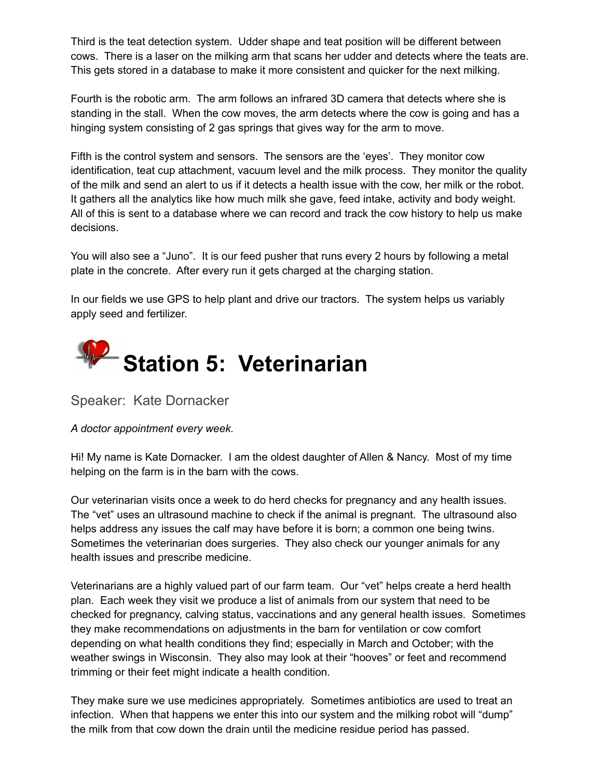Third is the teat detection system. Udder shape and teat position will be different between cows. There is a laser on the milking arm that scans her udder and detects where the teats are. This gets stored in a database to make it more consistent and quicker for the next milking.

Fourth is the robotic arm. The arm follows an infrared 3D camera that detects where she is standing in the stall. When the cow moves, the arm detects where the cow is going and has a hinging system consisting of 2 gas springs that gives way for the arm to move.

Fifth is the control system and sensors. The sensors are the 'eyes'. They monitor cow identification, teat cup attachment, vacuum level and the milk process. They monitor the quality of the milk and send an alert to us if it detects a health issue with the cow, her milk or the robot. It gathers all the analytics like how much milk she gave, feed intake, activity and body weight. All of this is sent to a database where we can record and track the cow history to help us make decisions.

You will also see a "Juno". It is our feed pusher that runs every 2 hours by following a metal plate in the concrete. After every run it gets charged at the charging station.

In our fields we use GPS to help plant and drive our tractors. The system helps us variably apply seed and fertilizer.



Speaker: Kate Dornacker

*A doctor appointment every week.*

Hi! My name is Kate Dornacker. I am the oldest daughter of Allen & Nancy. Most of my time helping on the farm is in the barn with the cows.

Our veterinarian visits once a week to do herd checks for pregnancy and any health issues. The "vet" uses an ultrasound machine to check if the animal is pregnant. The ultrasound also helps address any issues the calf may have before it is born; a common one being twins. Sometimes the veterinarian does surgeries. They also check our younger animals for any health issues and prescribe medicine.

Veterinarians are a highly valued part of our farm team. Our "vet" helps create a herd health plan. Each week they visit we produce a list of animals from our system that need to be checked for pregnancy, calving status, vaccinations and any general health issues. Sometimes they make recommendations on adjustments in the barn for ventilation or cow comfort depending on what health conditions they find; especially in March and October; with the weather swings in Wisconsin. They also may look at their "hooves" or feet and recommend trimming or their feet might indicate a health condition.

They make sure we use medicines appropriately. Sometimes antibiotics are used to treat an infection. When that happens we enter this into our system and the milking robot will "dump" the milk from that cow down the drain until the medicine residue period has passed.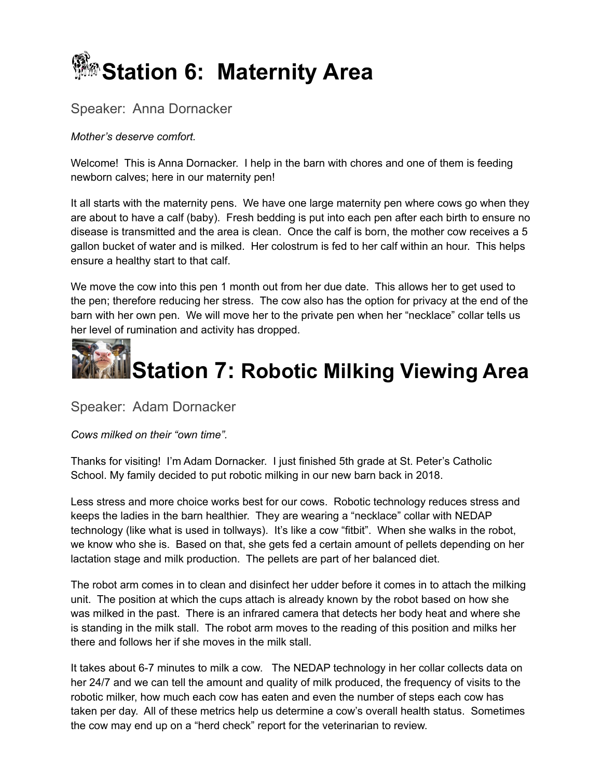

#### Speaker: Anna Dornacker

#### *Mother's deserve comfort.*

Welcome! This is Anna Dornacker. I help in the barn with chores and one of them is feeding newborn calves; here in our maternity pen!

It all starts with the maternity pens. We have one large maternity pen where cows go when they are about to have a calf (baby). Fresh bedding is put into each pen after each birth to ensure no disease is transmitted and the area is clean. Once the calf is born, the mother cow receives a 5 gallon bucket of water and is milked. Her colostrum is fed to her calf within an hour. This helps ensure a healthy start to that calf.

We move the cow into this pen 1 month out from her due date. This allows her to get used to the pen; therefore reducing her stress. The cow also has the option for privacy at the end of the barn with her own pen. We will move her to the private pen when her "necklace" collar tells us her level of rumination and activity has dropped.



Speaker: Adam Dornacker

*Cows milked on their "own time".*

Thanks for visiting! I'm Adam Dornacker. I just finished 5th grade at St. Peter's Catholic School. My family decided to put robotic milking in our new barn back in 2018.

Less stress and more choice works best for our cows. Robotic technology reduces stress and keeps the ladies in the barn healthier. They are wearing a "necklace" collar with NEDAP technology (like what is used in tollways). It's like a cow "fitbit". When she walks in the robot, we know who she is. Based on that, she gets fed a certain amount of pellets depending on her lactation stage and milk production. The pellets are part of her balanced diet.

The robot arm comes in to clean and disinfect her udder before it comes in to attach the milking unit. The position at which the cups attach is already known by the robot based on how she was milked in the past. There is an infrared camera that detects her body heat and where she is standing in the milk stall. The robot arm moves to the reading of this position and milks her there and follows her if she moves in the milk stall.

It takes about 6-7 minutes to milk a cow. The NEDAP technology in her collar collects data on her 24/7 and we can tell the amount and quality of milk produced, the frequency of visits to the robotic milker, how much each cow has eaten and even the number of steps each cow has taken per day. All of these metrics help us determine a cow's overall health status. Sometimes the cow may end up on a "herd check" report for the veterinarian to review.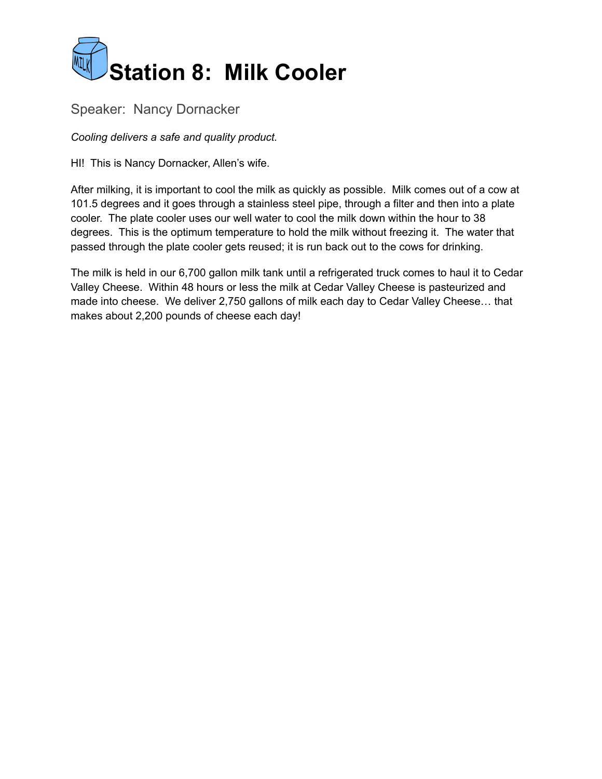

#### Speaker: Nancy Dornacker

*Cooling delivers a safe and quality product.*

HI! This is Nancy Dornacker, Allen's wife.

After milking, it is important to cool the milk as quickly as possible. Milk comes out of a cow at 101.5 degrees and it goes through a stainless steel pipe, through a filter and then into a plate cooler. The plate cooler uses our well water to cool the milk down within the hour to 38 degrees. This is the optimum temperature to hold the milk without freezing it. The water that passed through the plate cooler gets reused; it is run back out to the cows for drinking.

The milk is held in our 6,700 gallon milk tank until a refrigerated truck comes to haul it to Cedar Valley Cheese. Within 48 hours or less the milk at Cedar Valley Cheese is pasteurized and made into cheese. We deliver 2,750 gallons of milk each day to Cedar Valley Cheese… that makes about 2,200 pounds of cheese each day!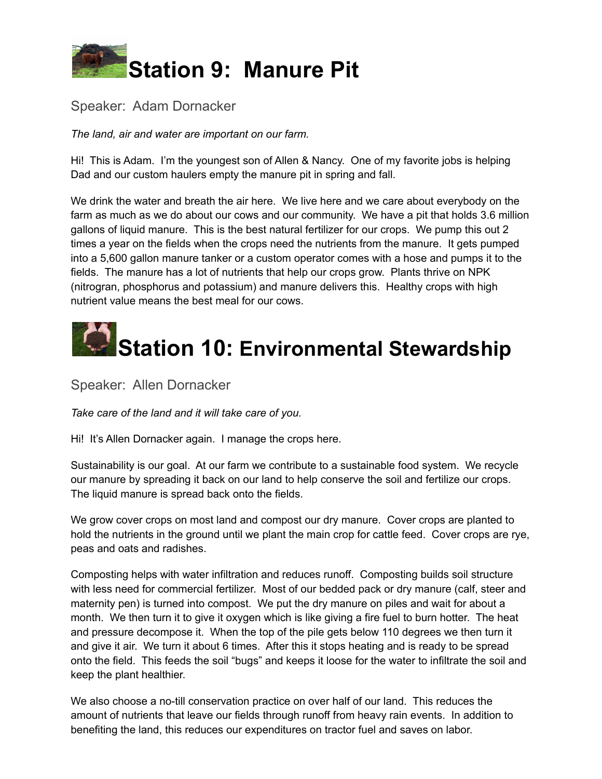

#### Speaker: Adam Dornacker

*The land, air and water are important on our farm.*

Hi! This is Adam. I'm the youngest son of Allen & Nancy. One of my favorite jobs is helping Dad and our custom haulers empty the manure pit in spring and fall.

We drink the water and breath the air here. We live here and we care about everybody on the farm as much as we do about our cows and our community. We have a pit that holds 3.6 million gallons of liquid manure. This is the best natural fertilizer for our crops. We pump this out 2 times a year on the fields when the crops need the nutrients from the manure. It gets pumped into a 5,600 gallon manure tanker or a custom operator comes with a hose and pumps it to the fields. The manure has a lot of nutrients that help our crops grow. Plants thrive on NPK (nitrogran, phosphorus and potassium) and manure delivers this. Healthy crops with high nutrient value means the best meal for our cows.

# **Station 10: Environmental Stewardship**

Speaker: Allen Dornacker

*Take care of the land and it will take care of you.*

Hi! It's Allen Dornacker again. I manage the crops here.

Sustainability is our goal. At our farm we contribute to a sustainable food system. We recycle our manure by spreading it back on our land to help conserve the soil and fertilize our crops. The liquid manure is spread back onto the fields.

We grow cover crops on most land and compost our dry manure. Cover crops are planted to hold the nutrients in the ground until we plant the main crop for cattle feed. Cover crops are rye, peas and oats and radishes.

Composting helps with water infiltration and reduces runoff. Composting builds soil structure with less need for commercial fertilizer. Most of our bedded pack or dry manure (calf, steer and maternity pen) is turned into compost. We put the dry manure on piles and wait for about a month. We then turn it to give it oxygen which is like giving a fire fuel to burn hotter. The heat and pressure decompose it. When the top of the pile gets below 110 degrees we then turn it and give it air. We turn it about 6 times. After this it stops heating and is ready to be spread onto the field. This feeds the soil "bugs" and keeps it loose for the water to infiltrate the soil and keep the plant healthier.

We also choose a no-till conservation practice on over half of our land. This reduces the amount of nutrients that leave our fields through runoff from heavy rain events. In addition to benefiting the land, this reduces our expenditures on tractor fuel and saves on labor.